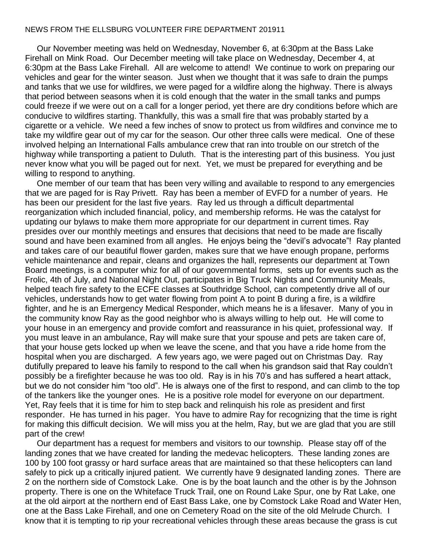## NEWS FROM THE ELLSBURG VOLUNTEER FIRE DEPARTMENT 201911

 Our November meeting was held on Wednesday, November 6, at 6:30pm at the Bass Lake Firehall on Mink Road. Our December meeting will take place on Wednesday, December 4, at 6:30pm at the Bass Lake Firehall. All are welcome to attend! We continue to work on preparing our vehicles and gear for the winter season. Just when we thought that it was safe to drain the pumps and tanks that we use for wildfires, we were paged for a wildfire along the highway. There is always that period between seasons when it is cold enough that the water in the small tanks and pumps could freeze if we were out on a call for a longer period, yet there are dry conditions before which are conducive to wildfires starting. Thankfully, this was a small fire that was probably started by a cigarette or a vehicle. We need a few inches of snow to protect us from wildfires and convince me to take my wildfire gear out of my car for the season. Our other three calls were medical. One of these involved helping an International Falls ambulance crew that ran into trouble on our stretch of the highway while transporting a patient to Duluth. That is the interesting part of this business. You just never know what you will be paged out for next. Yet, we must be prepared for everything and be willing to respond to anything.

 One member of our team that has been very willing and available to respond to any emergencies that we are paged for is Ray Privett. Ray has been a member of EVFD for a number of years. He has been our president for the last five years. Ray led us through a difficult departmental reorganization which included financial, policy, and membership reforms. He was the catalyst for updating our bylaws to make them more appropriate for our department in current times. Ray presides over our monthly meetings and ensures that decisions that need to be made are fiscally sound and have been examined from all angles. He enjoys being the "devil's advocate"! Ray planted and takes care of our beautiful flower garden, makes sure that we have enough propane, performs vehicle maintenance and repair, cleans and organizes the hall, represents our department at Town Board meetings, is a computer whiz for all of our governmental forms, sets up for events such as the Frolic, 4th of July, and National Night Out, participates in Big Truck Nights and Community Meals, helped teach fire safety to the ECFE classes at Southridge School, can competently drive all of our vehicles, understands how to get water flowing from point A to point B during a fire, is a wildfire fighter, and he is an Emergency Medical Responder, which means he is a lifesaver. Many of you in the community know Ray as the good neighbor who is always willing to help out. He will come to your house in an emergency and provide comfort and reassurance in his quiet, professional way. If you must leave in an ambulance, Ray will make sure that your spouse and pets are taken care of, that your house gets locked up when we leave the scene, and that you have a ride home from the hospital when you are discharged. A few years ago, we were paged out on Christmas Day. Ray dutifully prepared to leave his family to respond to the call when his grandson said that Ray couldn't possibly be a firefighter because he was too old. Ray is in his 70's and has suffered a heart attack, but we do not consider him "too old". He is always one of the first to respond, and can climb to the top of the tankers like the younger ones. He is a positive role model for everyone on our department. Yet, Ray feels that it is time for him to step back and relinquish his role as president and first responder. He has turned in his pager. You have to admire Ray for recognizing that the time is right for making this difficult decision. We will miss you at the helm, Ray, but we are glad that you are still part of the crew!

 Our department has a request for members and visitors to our township. Please stay off of the landing zones that we have created for landing the medevac helicopters. These landing zones are 100 by 100 foot grassy or hard surface areas that are maintained so that these helicopters can land safely to pick up a critically injured patient. We currently have 9 designated landing zones. There are 2 on the northern side of Comstock Lake. One is by the boat launch and the other is by the Johnson property. There is one on the Whiteface Truck Trail, one on Round Lake Spur, one by Rat Lake, one at the old airport at the northern end of East Bass Lake, one by Comstock Lake Road and Water Hen, one at the Bass Lake Firehall, and one on Cemetery Road on the site of the old Melrude Church. I know that it is tempting to rip your recreational vehicles through these areas because the grass is cut